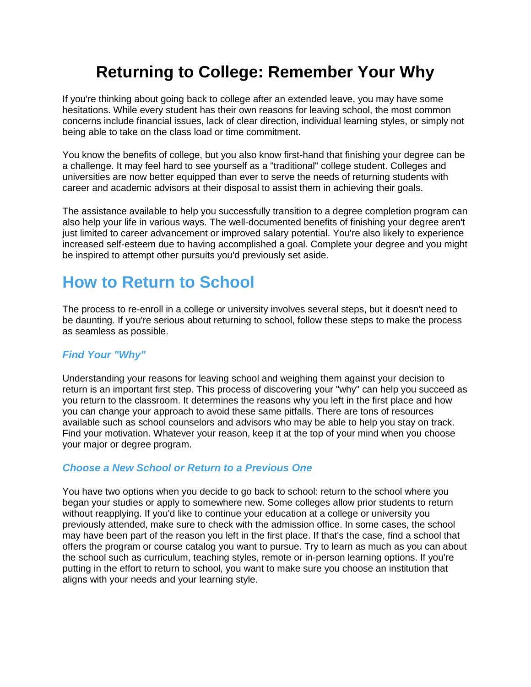# **Returning to College: Remember Your Why**

If you're thinking about going back to college after an extended leave, you may have some hesitations. While every student has their own reasons for leaving school, the most common concerns include financial issues, lack of clear direction, individual learning styles, or simply not being able to take on the class load or time commitment.

You know the benefits of college, but you also know first-hand that finishing your degree can be a challenge. It may feel hard to see yourself as a "traditional" college student. Colleges and universities are now better equipped than ever to serve the needs of returning students with career and academic advisors at their disposal to assist them in achieving their goals.

The assistance available to help you successfully transition to a degree completion program can also help your life in various ways. The well-documented benefits of finishing your degree aren't just limited to career advancement or improved salary potential. You're also likely to experience increased self-esteem due to having accomplished a goal. Complete your degree and you might be inspired to attempt other pursuits you'd previously set aside.

# **How to Return to School**

The process to re-enroll in a college or university involves several steps, but it doesn't need to be daunting. If you're serious about returning to school, follow these steps to make the process as seamless as possible.

## *Find Your "Why"*

Understanding your reasons for leaving school and weighing them against your decision to return is an important first step. This process of discovering your "why" can help you succeed as you return to the classroom. It determines the reasons why you left in the first place and how you can change your approach to avoid these same pitfalls. There are tons of resources available such as school counselors and advisors who may be able to help you stay on track. Find your motivation. Whatever your reason, keep it at the top of your mind when you choose your major or degree program.

## *Choose a New School or Return to a Previous One*

You have two options when you decide to go back to school: return to the school where you began your studies or apply to somewhere new. Some colleges allow prior students to return without reapplying. If you'd like to continue your education at a college or university you previously attended, make sure to check with the admission office. In some cases, the school may have been part of the reason you left in the first place. If that's the case, find a school that offers the program or course catalog you want to pursue. Try to learn as much as you can about the school such as curriculum, teaching styles, remote or in-person learning options. If you're putting in the effort to return to school, you want to make sure you choose an institution that aligns with your needs and your learning style.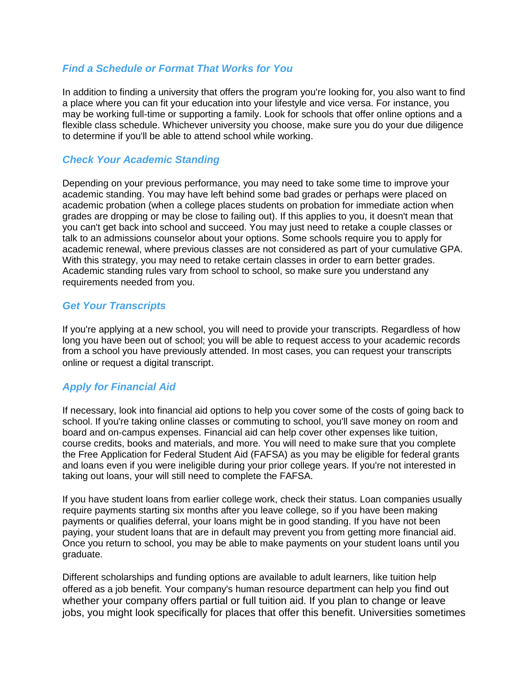## *Find a Schedule or Format That Works for You*

In addition to finding a university that offers the program you're looking for, you also want to find a place where you can fit your education into your lifestyle and vice versa. For instance, you may be working full-time or supporting a family. Look for schools that offer online options and a flexible class schedule. Whichever university you choose, make sure you do your due diligence to determine if you'll be able to attend school while working.

## *Check Your Academic Standing*

Depending on your previous performance, you may need to take some time to improve your academic standing. You may have left behind some bad grades or perhaps were placed on academic probation (when a college places students on probation for immediate action when grades are dropping or may be close to failing out). If this applies to you, it doesn't mean that you can't get back into school and succeed. You may just need to retake a couple classes or talk to an admissions counselor about your options. Some schools require you to apply for academic renewal, where previous classes are not considered as part of your cumulative GPA. With this strategy, you may need to retake certain classes in order to earn better grades. Academic standing rules vary from school to school, so make sure you understand any requirements needed from you.

## *Get Your Transcripts*

If you're applying at a new school, you will need to provide your transcripts. Regardless of how long you have been out of school; you will be able to request access to your academic records from a school you have previously attended. In most cases, you can request your transcripts online or request a digital transcript.

## *Apply for Financial Aid*

If necessary, look into financial aid options to help you cover some of the costs of going back to school. If you're taking online classes or commuting to school, you'll save money on room and board and on-campus expenses. Financial aid can help cover other expenses like tuition, course credits, books and materials, and more. You will need to make sure that you complete the Free Application for Federal Student Aid (FAFSA) as you may be eligible for federal grants and loans even if you were ineligible during your prior college years. If you're not interested in taking out loans, your will still need to complete the FAFSA.

If you have student loans from earlier college work, check their status. Loan companies usually require payments starting six months after you leave college, so if you have been making payments or qualifies deferral, your loans might be in good standing. If you have not been paying, your student loans that are in default may prevent you from getting more financial aid. Once you return to school, you may be able to make payments on your student loans until you graduate.

Different scholarships and funding options are available to adult learners, like tuition help offered as a job benefit. Your company's human resource department can help you find out whether your company offers partial or full tuition aid. If you plan to change or leave jobs, you might look specifically for places that offer this benefit. Universities sometimes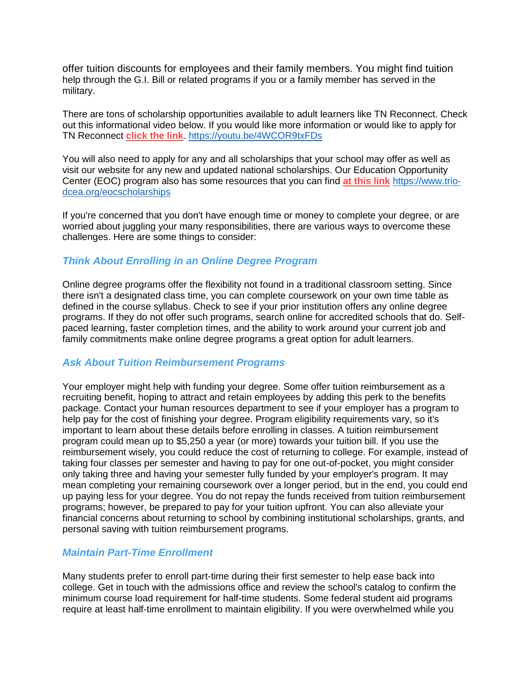offer tuition discounts for employees and their family members. You might find tuition help through the G.I. Bill or related programs if you or a family member has served in the military.

There are tons of scholarship opportunities available to adult learners like TN Reconnect. Check out this informational video below. If you would like more information or would like to apply for TN Reconnect **click the link**. <https://youtu.be/4WCOR9txFDs>

You will also need to apply for any and all scholarships that your school may offer as well as visit our website for any new and updated national scholarships. Our Education Opportunity Center (EOC) program also has some resources that you can find **at this link** [https://www.trio](https://www.trio-dcea.org/eocscholarships)[dcea.org/eocscholarships](https://www.trio-dcea.org/eocscholarships)

If you're concerned that you don't have enough time or money to complete your degree, or are worried about juggling your many responsibilities, there are various ways to overcome these challenges. Here are some things to consider:

## *Think About Enrolling in an Online Degree Program*

Online degree programs offer the flexibility not found in a traditional classroom setting. Since there isn't a designated class time, you can complete coursework on your own time table as defined in the course syllabus. Check to see if your prior institution offers any online degree programs. If they do not offer such programs, search online for accredited schools that do. Selfpaced learning, faster completion times, and the ability to work around your current job and family commitments make online degree programs a great option for adult learners.

#### *Ask About Tuition Reimbursement Programs*

Your employer might help with funding your degree. Some offer tuition reimbursement as a recruiting benefit, hoping to attract and retain employees by adding this perk to the benefits package. Contact your human resources department to see if your employer has a program to help pay for the cost of finishing your degree. Program eligibility requirements vary, so it's important to learn about these details before enrolling in classes. A tuition reimbursement program could mean up to \$5,250 a year (or more) towards your tuition bill. If you use the reimbursement wisely, you could reduce the cost of returning to college. For example, instead of taking four classes per semester and having to pay for one out-of-pocket, you might consider only taking three and having your semester fully funded by your employer's program. It may mean completing your remaining coursework over a longer period, but in the end, you could end up paying less for your degree. You do not repay the funds received from tuition reimbursement programs; however, be prepared to pay for your tuition upfront. You can also alleviate your financial concerns about returning to school by combining institutional scholarships, grants, and personal saving with tuition reimbursement programs.

#### *Maintain Part-Time Enrollment*

Many students prefer to enroll part-time during their first semester to help ease back into college. Get in touch with the admissions office and review the school's catalog to confirm the minimum course load requirement for half-time students. Some federal student aid programs require at least half-time enrollment to maintain eligibility. If you were overwhelmed while you